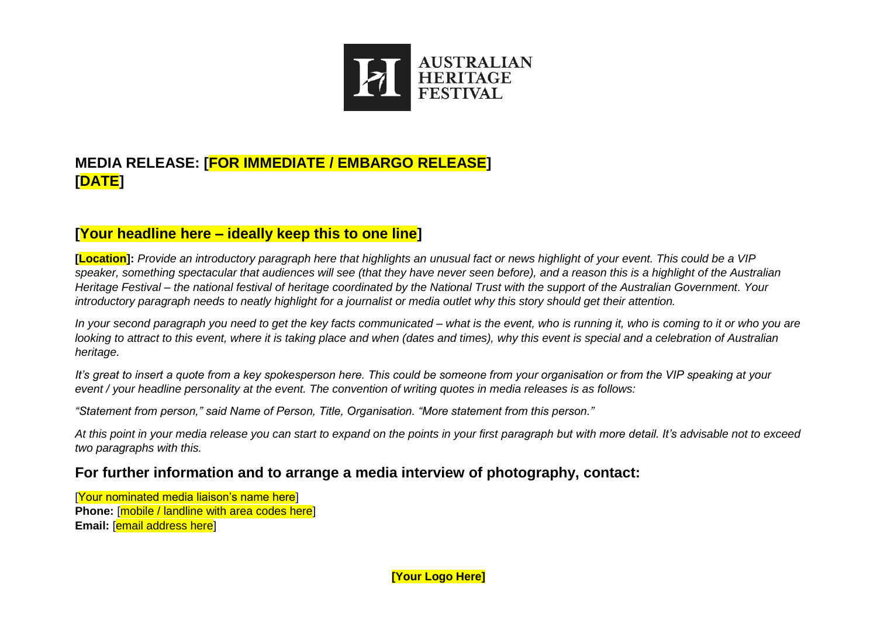

# **MEDIA RELEASE: [FOR IMMEDIATE / EMBARGO RELEASE] [DATE]**

## **[Your headline here – ideally keep this to one line]**

**[Location]:** *Provide an introductory paragraph here that highlights an unusual fact or news highlight of your event. This could be a VIP speaker, something spectacular that audiences will see (that they have never seen before), and a reason this is a highlight of the Australian Heritage Festival – the national festival of heritage coordinated by the National Trust with the support of the Australian Government. Your introductory paragraph needs to neatly highlight for a journalist or media outlet why this story should get their attention.*

*In your second paragraph you need to get the key facts communicated – what is the event, who is running it, who is coming to it or who you are looking to attract to this event, where it is taking place and when (dates and times), why this event is special and a celebration of Australian heritage.* 

*It's great to insert a quote from a key spokesperson here. This could be someone from your organisation or from the VIP speaking at your event / your headline personality at the event. The convention of writing quotes in media releases is as follows:* 

*"Statement from person," said Name of Person, Title, Organisation. "More statement from this person."*

*At this point in your media release you can start to expand on the points in your first paragraph but with more detail. It's advisable not to exceed two paragraphs with this.* 

### **For further information and to arrange a media interview of photography, contact:**

[Your nominated media liaison's name here] **Phone:** [mobile / landline with area codes here] **Email:** [email address here]